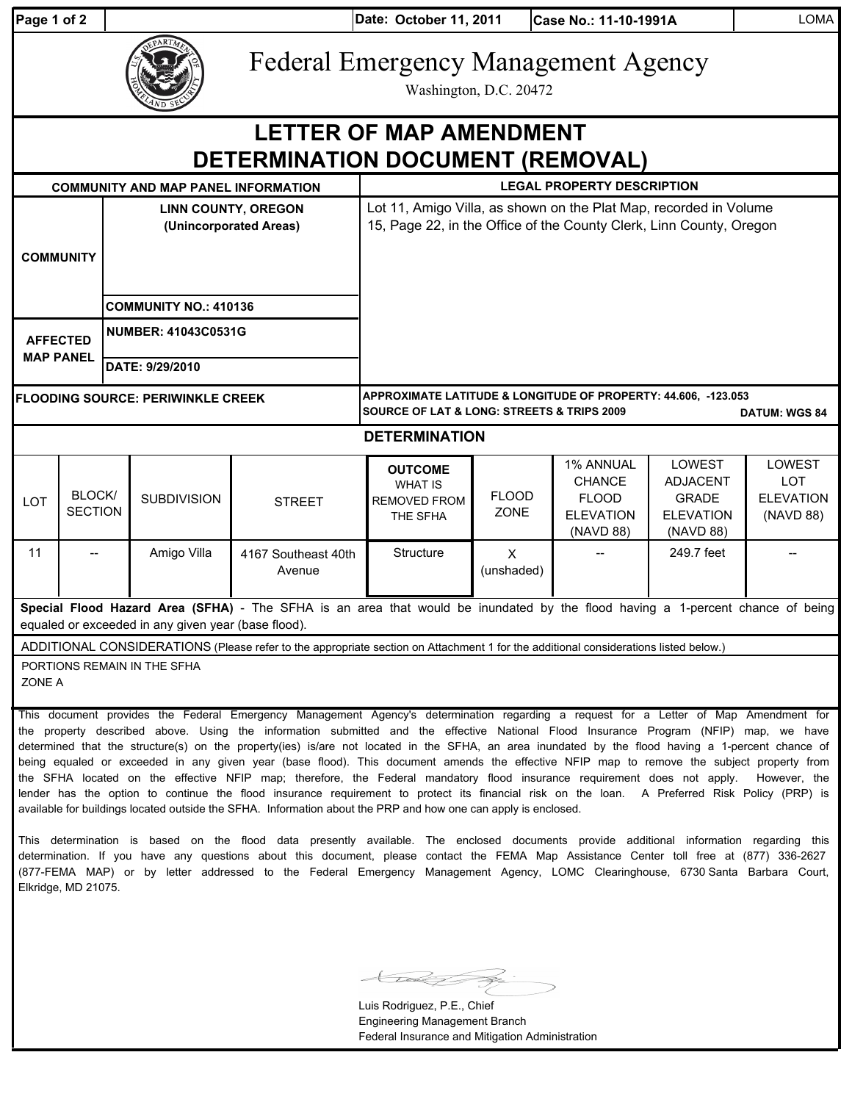| Page 1 of 2 |  |  |
|-------------|--|--|
|             |  |  |

**Date: Case No.: 11-10-1991A** LOMA **Page 1 of 2 October 11, 2011**

## Federal Emergency Management Agency

Washington, D.C. 20472

| Washington, D.C. 20472                                                                                                                                                                                                                                                       |                                 |                                                      |                    |                                                                                                                                                     |                                                                     |                        |                                                                             |                                                                            |                                                       |  |  |
|------------------------------------------------------------------------------------------------------------------------------------------------------------------------------------------------------------------------------------------------------------------------------|---------------------------------|------------------------------------------------------|--------------------|-----------------------------------------------------------------------------------------------------------------------------------------------------|---------------------------------------------------------------------|------------------------|-----------------------------------------------------------------------------|----------------------------------------------------------------------------|-------------------------------------------------------|--|--|
| <b>LETTER OF MAP AMENDMENT</b><br>DETERMINATION DOCUMENT (REMOVAL)                                                                                                                                                                                                           |                                 |                                                      |                    |                                                                                                                                                     |                                                                     |                        |                                                                             |                                                                            |                                                       |  |  |
| <b>COMMUNITY AND MAP PANEL INFORMATION</b>                                                                                                                                                                                                                                   |                                 |                                                      |                    |                                                                                                                                                     | <b>LEGAL PROPERTY DESCRIPTION</b>                                   |                        |                                                                             |                                                                            |                                                       |  |  |
| <b>COMMUNITY</b>                                                                                                                                                                                                                                                             |                                 | <b>LINN COUNTY, OREGON</b><br>(Unincorporated Areas) |                    | Lot 11, Amigo Villa, as shown on the Plat Map, recorded in Volume<br>15, Page 22, in the Office of the County Clerk, Linn County, Oregon            |                                                                     |                        |                                                                             |                                                                            |                                                       |  |  |
|                                                                                                                                                                                                                                                                              |                                 | <b>COMMUNITY NO.: 410136</b>                         |                    |                                                                                                                                                     |                                                                     |                        |                                                                             |                                                                            |                                                       |  |  |
| <b>AFFECTED</b><br><b>MAP PANEL</b>                                                                                                                                                                                                                                          |                                 | <b>NUMBER: 41043C0531G</b>                           |                    |                                                                                                                                                     |                                                                     |                        |                                                                             |                                                                            |                                                       |  |  |
|                                                                                                                                                                                                                                                                              |                                 |                                                      | DATE: 9/29/2010    |                                                                                                                                                     |                                                                     |                        |                                                                             |                                                                            |                                                       |  |  |
| <b>FLOODING SOURCE: PERIWINKLE CREEK</b>                                                                                                                                                                                                                                     |                                 |                                                      |                    | APPROXIMATE LATITUDE & LONGITUDE OF PROPERTY: 44.606, -123.053<br><b>SOURCE OF LAT &amp; LONG: STREETS &amp; TRIPS 2009</b><br><b>DATUM: WGS 84</b> |                                                                     |                        |                                                                             |                                                                            |                                                       |  |  |
| <b>DETERMINATION</b>                                                                                                                                                                                                                                                         |                                 |                                                      |                    |                                                                                                                                                     |                                                                     |                        |                                                                             |                                                                            |                                                       |  |  |
| <b>LOT</b>                                                                                                                                                                                                                                                                   | <b>BLOCK/</b><br><b>SECTION</b> |                                                      | <b>SUBDIVISION</b> | <b>STREET</b>                                                                                                                                       | <b>OUTCOME</b><br><b>WHAT IS</b><br><b>REMOVED FROM</b><br>THE SFHA | <b>FLOOD</b><br>ZONE   | 1% ANNUAL<br><b>CHANCE</b><br><b>FLOOD</b><br><b>ELEVATION</b><br>(NAVD 88) | LOWEST<br><b>ADJACENT</b><br><b>GRADE</b><br><b>ELEVATION</b><br>(NAVD 88) | LOWEST<br><b>LOT</b><br><b>ELEVATION</b><br>(NAVD 88) |  |  |
| 11                                                                                                                                                                                                                                                                           |                                 |                                                      | Amigo Villa        | 4167 Southeast 40th<br>Avenue                                                                                                                       | <b>Structure</b>                                                    | $\times$<br>(unshaded) |                                                                             | 249.7 feet                                                                 |                                                       |  |  |
| Special Flood Hazard Area (SFHA) - The SFHA is an area that would be inundated by the flood having a 1-percent chance of being<br>equaled or exceeded in any given year (base flood).                                                                                        |                                 |                                                      |                    |                                                                                                                                                     |                                                                     |                        |                                                                             |                                                                            |                                                       |  |  |
| ADDITIONAL CONSIDERATIONS (Please refer to the appropriate section on Attachment 1 for the additional considerations listed below.)<br>PORTIONS REMAIN IN THE SFHA<br>ZONE A                                                                                                 |                                 |                                                      |                    |                                                                                                                                                     |                                                                     |                        |                                                                             |                                                                            |                                                       |  |  |
| This document provides the Federal Emergency Management Agency's determination regarding a request for a Letter of Map Amendment for<br>the property described above. Using the information submitted and the effective National Flood Insurance Program (NFIP) map, we have |                                 |                                                      |                    |                                                                                                                                                     |                                                                     |                        |                                                                             |                                                                            |                                                       |  |  |

the property described above. Using the information submitted and the effective National Flood Insurance Program (NFIP) map, we have determined that the structure(s) on the property(ies) is/are not located in the SFHA, an area inundated by the flood having a 1-percent chance of being equaled or exceeded in any given year (base flood). This document amends the effective NFIP map to remove the subject property from the SFHA located on the effective NFIP map; therefore, the Federal mandatory flood insurance requirement does not apply. However, the lender has the option to continue the flood insurance requirement to protect its financial risk on the loan. A Preferred Risk Policy (PRP) is available for buildings located outside the SFHA. Information about the PRP and how one can apply is enclosed.

This determination is based on the flood data presently available. The enclosed documents provide additional information regarding this determination. If you have any questions about this document, please contact the FEMA Map Assistance Center toll free at (877) 336-2627 (877-FEMA MAP) or by letter addressed to the Federal Emergency Management Agency, LOMC Clearinghouse, 6730 Santa Barbara Court, Elkridge, MD 21075.

Luis Rodriguez, P.E., Chief Engineering Management Branch Federal Insurance and Mitigation Administration